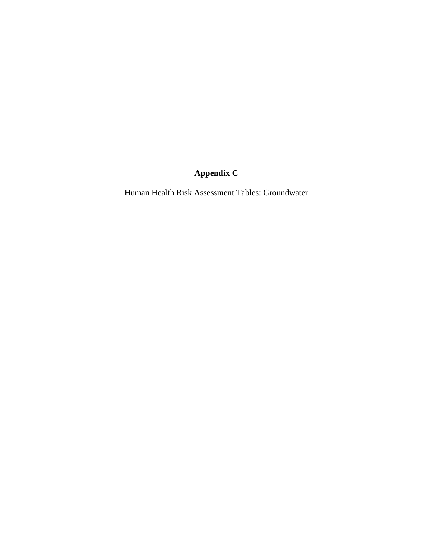# **Appendix C**

Human Health Risk Assessment Tables: Groundwater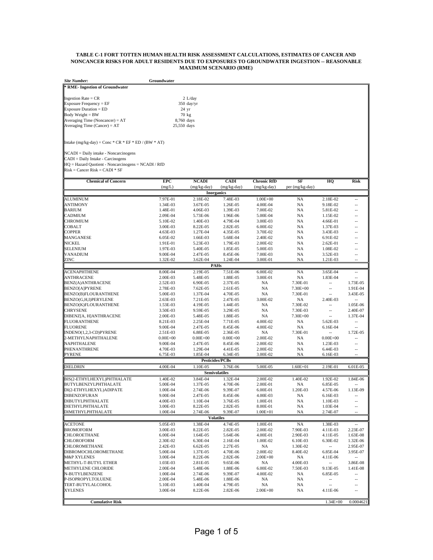## **TABLE C-1 FORT TOTTEN HUMAN HEALTH RISK ASSESSMENT CALCULATIONS, ESTIMATES OF CANCER AND NONCANCER RISKS FOR ADULT RESIDENTS DUE TO EXPOSURES TO GROUNDWATER INGESTION -- REASONABLE MAXIMUM SCENARIO (RME)**

| <b>Site Number:</b>             | Groundwater     |
|---------------------------------|-----------------|
| * RME- Ingestion of Groundwater |                 |
| Ingestion Rate = $CR$           | $2$ L/day       |
| Exposure Frequency = $EF$       | $350$ day/yr    |
| $Exposure$ Duration = $ED$      | $24 \text{ yr}$ |
| Body Weight = BW                | 70 kg           |
| Averaging Time (Noncancer) = AT | 8,760 days      |
| Averaging Time (Cancer) = $AT$  | 25,550 days     |

Intake  $(mg/kg-day) = Conc * CR * EF * ED / (BW * AT)$ 

NCADI = Daily intake - Noncarcinogens CADI = Daily Intake - Carcinogens HQ = Hazard Quotient - Noncarcinogens = NCADI / RfD Risk = Cancer Risk = CADI \* SF

| <b>Chemical of Concern</b>                  | <b>EPC</b>           | <b>NCADI</b>         | <b>CADI</b>                  | <b>Chronic RfD</b>   | SF              | HQ                         | <b>Risk</b>                |
|---------------------------------------------|----------------------|----------------------|------------------------------|----------------------|-----------------|----------------------------|----------------------------|
|                                             | (mg/L)               | $(mg/kg-day)$        | (mg/kg-day)                  | (mg/kg-day)          | per (mg/kg-day) |                            |                            |
|                                             |                      |                      | <b>Inorganics</b>            |                      |                 |                            |                            |
| ALUMINUM                                    | 7.97E-01             | 2.18E-02             | 7.48E-03                     | $1.00E + 00$         | NA              | 2.18E-02                   |                            |
| <b>ANTIMONY</b>                             | 1.34E-03             | 3.67E-05             | 1.26E-05                     | 4.00E-04             | NA              | 9.18E-02                   | $\overline{a}$             |
| <b>BARIUM</b>                               | 1.48E-01             | 4.06E-03             | 1.39E-03                     | 7.00E-02             | <b>NA</b>       | 5.81E-02                   | $\overline{a}$             |
| CADMIUM                                     | 2.09E-04             | 5.73E-06             | 1.96E-06                     | 5.00E-04             | <b>NA</b>       | 1.15E-02                   | $\overline{a}$             |
| <b>CHROMIUM</b>                             | 5.10E-02             | 1.40E-03             | 4.79E-04                     | 3.00E-03             | <b>NA</b>       | 4.66E-01                   | $\overline{a}$             |
| <b>COBALT</b>                               | 3.00E-03             | 8.22E-05             | 2.82E-05                     | 6.00E-02             | <b>NA</b>       | 1.37E-03                   | $\overline{a}$             |
| <b>COPPER</b>                               | 4.63E-03             | 1.27E-04             | 4.35E-05                     | 3.70E-02             | NA              | 3.43E-03                   | $\overline{a}$             |
| MANGANESE                                   | 6.05E-02             | 1.66E-03             | 5.68E-04                     | 2.40E-02             | <b>NA</b>       | 6.91E-02                   | $\overline{a}$             |
| NICKEL                                      | 1.91E-01             | 5.23E-03             | 1.79E-03                     | 2.00E-02             | <b>NA</b>       | 2.62E-01                   | $\overline{a}$             |
| SELENIUM                                    | 1.97E-03             | 5.40E-05             | 1.85E-05                     | 5.00E-03             | NA              | 1.08E-02                   | $\overline{a}$             |
| VANADIUM                                    | 9.00E-04             | 2.47E-05             | 8.45E-06                     | 7.00E-03             | NA              | 3.52E-03                   | $\overline{a}$             |
| ZINC                                        | 1.32E-02             | 3.62E-04             | 1.24E-04                     | 3.00E-01             | NA              | 1.21E-03                   |                            |
|                                             |                      |                      | PAHs                         |                      |                 |                            |                            |
| <b>ACENAPHTHENE</b>                         | 8.00E-04             | 2.19E-05             | 7.51E-06                     | 6.00E-02             | NA              | 3.65E-04                   | --                         |
| <b>ANTHRACENE</b>                           | 2.00E-03             | 5.48E-05             | 1.88E-05                     | 3.00E-01             | NA              | 1.83E-04                   | $\overline{a}$             |
| <b>BENZ(A)ANTHRACENE</b>                    | 2.52E-03             | 6.90E-05             | 2.37E-05                     | <b>NA</b>            | 7.30E-01        | $\overline{\phantom{a}}$   | 1.73E-05                   |
| <b>BENZO[A]PYRENE</b>                       | 2.78E-03             | 7.62E-05             | 2.61E-05                     | NA                   | 7.30E+00        | $\overline{\phantom{a}}$   | 1.91E-04                   |
| <b>BENZO(B)FLOURANTHENE</b>                 | 5.00E-03             | 1.37E-04             | 4.70E-05                     | NA                   | 7.30E-01        | $\overline{a}$             | 3.43E-05                   |
| BENZO(G,H,I)PERYLENE                        | 2.63E-03             | 7.21E-05             | 2.47E-05                     | 3.00E-02             | NA              | 2.40E-03                   | $\overline{a}$             |
| BENZO(K)FLOURANTHENE                        | 1.53E-03             | 4.19E-05             | 1.44E-05                     | <b>NA</b>            | 7.30E-02        | --                         | 1.05E-06                   |
| <b>CHRYSENE</b>                             | 3.50E-03             | 9.59E-05             | 3.29E-05                     | <b>NA</b>            | 7.30E-03        | $\overline{a}$             | 2.40E-07                   |
| DIBENZ[A, H]ANTHRACENE                      | 2.00E-03             | 5.48E-05             | 1.88E-05                     | NA                   | 7.30E+00        | $\overline{a}$             | 1.37E-04                   |
| <b>FLUORANTHENE</b>                         | 8.21E-03             | 2.25E-04             | 7.71E-05                     | 4.00E-02             | NA              | 5.62E-03                   | $\overline{a}$             |
| <b>FLUORENE</b>                             | 9.00E-04             | 2.47E-05             | 8.45E-06                     | 4.00E-02             | NA              | 6.16E-04                   | $\overline{a}$             |
| INDENO(1,2,3-CD)PYRENE                      | 2.51E-03             | 6.88E-05             | 2.36E-05                     | NA                   | 7.30E-01        | $\overline{a}$             | 1.72E-05                   |
| 2-METHYLNAPHTHALENE                         | $0.00E + 00$         | $0.00E + 00$         | $0.00E + 00$                 | 2.00E-02             | <b>NA</b>       | $0.00E + 00$               | $\overline{a}$             |
| NAPHTHALENE                                 | 9.00E-04             | 2.47E-05             | 8.45E-06                     | 2.00E-02             | NA              | 1.23E-03                   | $\overline{a}$             |
| PHENANTHRENE                                | 4.70E-03             | 1.29E-04             | 4.41E-05                     | 2.00E-02             | NA              | 6.44E-03                   | $\overline{a}$             |
| PYRENE                                      | 6.75E-03             | 1.85E-04             | 6.34E-05                     | 3.00E-02             | NA              | 6.16E-03                   | $\overline{a}$             |
|                                             |                      |                      | <b>Pesticides/PCBs</b>       |                      |                 |                            |                            |
| DIELDRIN                                    | 4.00E-04             | 1.10E-05             | 3.76E-06                     | 5.00E-05             | $1.60E + 01$    | 2.19E-01                   | 6.01E-05                   |
|                                             |                      |                      | <b>Semivolatiles</b>         |                      |                 |                            |                            |
| BIS(2-ETHYLHEXYL)PHTHALATE                  | 1.40E-02             | 3.84E-04             | 1.32E-04                     | 2.00E-02             | 1.40E-02        | 1.92E-02                   | 1.84E-06                   |
| BUTYLBENZYLPHTHALATE                        | 5.00E-04             | 1.37E-05             | 4.70E-06                     | 2.00E-01             | NA              | 6.85E-05                   |                            |
| DI(2-ETHYLHEXYL)ADIPATE                     | 1.00E-04             | 2.74E-06             | 9.39E-07                     | 6.00E-01             | 1.20E-03        | 4.57E-06                   | 1.13E-09                   |
| <b>DIBENZOFURAN</b>                         | 9.00E-04             | 2.47E-05             | 8.45E-06                     | 4.00E-03             | NA              | 6.16E-03                   |                            |
| DIBUTYLPHTHALATE                            | 4.00E-03             | 1.10E-04             | 3.76E-05                     | 1.00E-01             | NA              | 1.10E-03                   | $\overline{a}$             |
| <b>DIETHYLPHTHALATE</b>                     | 3.00E-03             | 8.22E-05             | 2.82E-05                     | 8.00E-01             | <b>NA</b>       | 1.03E-04                   | $\overline{a}$             |
| DIMETHYLPHTHALATE                           | 1.00E-04             | 2.74E-06             | 9.39E-07<br><b>Volatiles</b> | $1.00E + 01$         | NA              | 2.74E-07                   | $\overline{a}$             |
| <b>ACETONE</b>                              | 5.05E-03             | 1.38E-04             | 4.74E-05                     | 1.00E-01             | NA              | 1.38E-03                   |                            |
| <b>BROMOFORM</b>                            | 3.00E-03             | 8.22E-05             | 2.82E-05                     | 2.00E-02             | 7.90E-03        | 4.11E-03                   | 2.23E-07                   |
| <b>CHLOROETHANE</b>                         | 6.00E-04             | 1.64E-05             | 5.64E-06                     | 4.00E-01             | 2.90E-03        | 4.11E-05                   | 1.63E-08                   |
| <b>CHLOROFORM</b>                           | 2.30E-02             | 6.30E-04             | 2.16E-04                     | 1.00E-02             | 6.10E-03        | 6.30E-02                   | 1.32E-06                   |
| CHLOROMETHANE                               | 2.42E-03             | 6.62E-05             | 2.27E-05                     | NA                   | 1.30E-02        | --                         | 2.95E-07                   |
| DIBROMOCHLOROMETHANE                        | 5.00E-04             | 1.37E-05             | 4.70E-06                     | 2.00E-02             | 8.40E-02        | 6.85E-04                   | 3.95E-07                   |
| <b>M&amp;P XYLENES</b>                      |                      |                      |                              | $2.00E + 00$         | <b>NA</b>       |                            |                            |
| METHYL-T-BUTYL ETHER                        | 3.00E-04<br>1.03E-03 | 8.22E-06<br>2.81E-05 | 2.82E-06<br>9.65E-06         | NA                   | 4.00E-03        | 4.11E-06<br>$\overline{a}$ | 3.86E-08                   |
|                                             |                      |                      |                              |                      |                 |                            |                            |
| <b>METHYLENE CHLORIDE</b><br>N-BUTYLBENZENE | 2.00E-04             | 5.48E-06             | 1.88E-06                     | 6.00E-02<br>4.00E-02 | 7.50E-03        | 9.13E-05                   | 1.41E-08<br>$\overline{a}$ |
| P-ISOPROPYLTOLUENE                          | 1.00E-04             | 2.74E-06             | 9.39E-07                     | NA                   | NA<br>NA        | 6.85E-05<br>$\overline{a}$ | $\overline{a}$             |
|                                             | 2.00E-04             | 5.48E-06             | 1.88E-06                     |                      |                 | $\overline{a}$             |                            |
| TERT-BUTYLALCOHOL                           | 5.10E-03             | 1.40E-04             | 4.79E-05                     | NA                   | NA              |                            | $\overline{a}$             |
| <b>XYLENES</b>                              | 3.00E-04             | 8.22E-06             | 2.82E-06                     | $2.00E + 00$         | NA              | 4.11E-06                   | $\overline{a}$             |
| <b>Cumulative Risk</b>                      |                      |                      |                              |                      |                 | $1.34E + 00$               | 0.0004621                  |
|                                             |                      |                      |                              |                      |                 |                            |                            |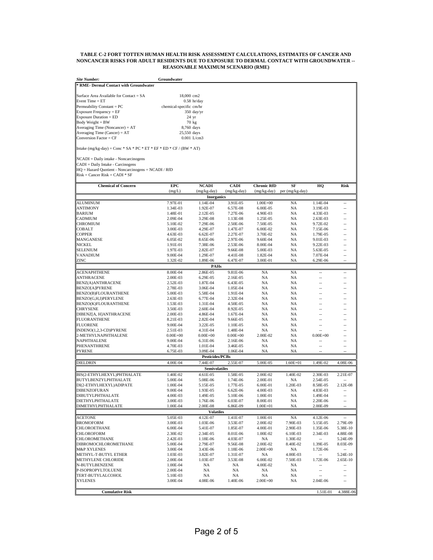#### **TABLE C-2 FORT TOTTEN HUMAN HEALTH RISK ASSESSMENT CALCULATIONS, ESTIMATES OF CANCER AND NONCANCER RISKS FOR ADULT RESIDENTS DUE TO EXPOSURE TO DERMAL CONTACT WITH GROUNDWATER -- REASONABLE MAXIMUM SCENARIO (RME)**

| <b>Site Number:</b>                                                                      | Groundwater             |                        |                      |                      |                             |                      |                      |
|------------------------------------------------------------------------------------------|-------------------------|------------------------|----------------------|----------------------|-----------------------------|----------------------|----------------------|
| <b>RME- Dermal Contact with Groundwater</b>                                              |                         |                        |                      |                      |                             |                      |                      |
|                                                                                          |                         |                        |                      |                      |                             |                      |                      |
| Surface Area Available for Contact = SA<br>Event Time $= ET$                             | 18,000 cm2              | $0.58$ hr/day          |                      |                      |                             |                      |                      |
| Permeability Constant = PC                                                               | chemical-specific cm/hr |                        |                      |                      |                             |                      |                      |
| Exposure Frequency = EF                                                                  |                         | 350 day/yr             |                      |                      |                             |                      |                      |
| <b>Exposure Duration = ED</b>                                                            |                         | 24 yr                  |                      |                      |                             |                      |                      |
| $Body Weight = BW$                                                                       |                         | 70 kg                  |                      |                      |                             |                      |                      |
| Averaging Time (Noncancer) = AT                                                          | 8,760 days              |                        |                      |                      |                             |                      |                      |
| Averaging Time (Cancer) = $AT$<br>Conversion Factor = CF                                 | 25,550 days             | $0.001$ L/cm3          |                      |                      |                             |                      |                      |
|                                                                                          |                         |                        |                      |                      |                             |                      |                      |
| Intake $(mg/kg-day) = Conc * SA * PC * ET * EF * ED * CF / (BW * AT)$                    |                         |                        |                      |                      |                             |                      |                      |
| NCADI = Daily intake - Noncarcinogens                                                    |                         |                        |                      |                      |                             |                      |                      |
| CADI = Daily Intake - Carcinogens<br>HQ = Hazard Quotient - Noncarcinogens = NCADI / RfD |                         |                        |                      |                      |                             |                      |                      |
| $Risk = Cancer Risk = CADI * SF$                                                         |                         |                        |                      |                      |                             |                      |                      |
|                                                                                          |                         |                        |                      |                      |                             |                      |                      |
| <b>Chemical of Concern</b>                                                               | EPC                     | <b>NCADI</b>           | <b>CADI</b>          | <b>Chronic RfD</b>   | SF                          | HQ                   | Risk                 |
|                                                                                          | (mg/L)                  | (mg/kg-day)            | (mg/kg-day)          |                      | (mg/kg-day) per (mg/kg-day) |                      |                      |
|                                                                                          |                         | <b>Inorganics</b>      |                      |                      |                             |                      |                      |
| ALUMINUM<br>ANTIMONY                                                                     | 7.97E-01<br>1.34E-03    | 1.14E-04               | 3.91E-05             | $1.00E + 00$         | NA<br>NA                    | 1.14E-04             | Ξ.                   |
| <b>BARIUM</b>                                                                            | 1.48E-01                | 1.92E-07<br>2.12E-05   | 6.57E-08<br>7.27E-06 | 6.00E-05<br>4.90E-03 | NA                          | 3.19E-03<br>4.33E-03 | 4                    |
| CADMIUM                                                                                  | 2.09E-04                | 3.29E-08               | 1.13E-08             | 1.25E-05             | NA                          | $2.63E-03$           |                      |
| CHROMIUM                                                                                 | 5.10E-02                | 7.29E-06               | 2.50E-06             | 7.50E-05             | NA                          | 9.72E-02             | 4                    |
| <b>COBALT</b>                                                                            | 3.00E-03                | 4.29E-07               | 1.47E-07             | 6.00E-02             | NA                          | 7.15E-06             | --                   |
| <b>COPPER</b>                                                                            | 4.63E-03                | 6.62E-07               | 2.27E-07             | 3.70E-02             | NA                          | 1.79E-05             | ÷÷                   |
| MANGANESE                                                                                | 6.05E-02                | 8.65E-06               | 2.97E-06             | 9.60E-04             | NA                          | 9.01E-03             | --                   |
| NICKEL                                                                                   | 1.91E-01                | 7.38E-06               | 2.53E-06             | 8.00E-04             | NA                          | 9.22E-03             | н.                   |
| SELENIUM                                                                                 | 1.97E-03                | 2.82E-07               | 9.66E-08             | 5.00E-03             | NA                          | 5.63E-05             | --                   |
| VANADIUM                                                                                 | 9.00E-04                | 1.29E-07               | 4.41E-08             | 1.82E-04             | NA                          | 7.07E-04             | 44                   |
| ZINC                                                                                     | 1.32E-02                | 1.89E-06               | 6.47E-07             | 3.00E-01             | NA                          | 6.29E-06             |                      |
| <b>ACENAPHTHENE</b>                                                                      | 8.00E-04                | PAHs<br>2.86E-05       | 9.81E-06             | NA                   | NA                          | ÷.                   | ă.                   |
| <b>ANTHRACENE</b>                                                                        | 2.00E-03                | 6.29E-05               | 2.16E-05             | NA                   | <b>NA</b>                   | ä.                   | L.                   |
| <b>BENZ(A)ANTHRACENE</b>                                                                 | 2.52E-03                | 1.87E-04               | 6.43E-05             | NA                   | NA                          | ÷.                   | ٠.                   |
| BENZO[A]PYRENE                                                                           | 2.78E-03                | 3.06E-04               | 1.05E-04             | NA                   | NA                          | цú.                  | ă.                   |
| BENZO(B)FLOURANTHENE                                                                     | 5.00E-03                | 5.58E-04               | 1.91E-04             | NA                   | NA                          | ÷.                   | 44                   |
| BENZO(G,H,I)PERYLENE                                                                     | 2.63E-03                | 6.77E-04               | 2.32E-04             | NA                   | NA                          | ä.                   | ă.                   |
| BENZO(K)FLOURANTHENE                                                                     | 1.53E-03                | 1.31E-04               | 4.50E-05             | NA                   | NA                          | --                   |                      |
| CHRYSENE                                                                                 | 3.50E-03                | $2.60E - 04$           | 8.92E-05             | NA                   | NA                          | ÷.                   | Ξ.                   |
| DIBENZ[A, H]ANTHRACENE<br>FLUORANTHENE                                                   | 2.00E-03                | 4.86E-04<br>2.82E-04   | 1.67E-04<br>9.66E-05 | NA<br>NA             | NA<br>NA                    | 44<br>4              | -−                   |
| FLUORENE                                                                                 | 8.21E-03<br>9.00E-04    | 3.22E-05               | 1.10E-05             | NA                   | NA                          | $\qquad \qquad -$    |                      |
| INDENO(1,2,3-CD)PYRENE                                                                   | 2.51E-03                | 4.31E-04               | 1.48E-04             | NA                   | NA                          |                      | 4                    |
| 2-METHYLNAPHTHALENE                                                                      | $0.00E + 00$            | $0.00E + 00$           | $0.00E + 00$         | 2.00E-02             | NA                          | $0.00E + 00$         |                      |
| NAPHTHALENE                                                                              | 9.00E-04                | 6.31E-06               | 2.16E-06             | NA                   | NA                          | 4                    | 4                    |
| PHENANTHRENE                                                                             | 4.70E-03                | 1.01E-04               | 3.46E-05             | NA                   | NA                          | ä.                   | Ц.                   |
| PYRENE                                                                                   | 6.75E-03                | 3.09E-04               | 1.06E-04             | NA                   | NA                          |                      |                      |
|                                                                                          |                         | <b>Pesticides/PCBs</b> |                      |                      |                             |                      |                      |
| DIELDRIN                                                                                 | 4.00E-04                | 7.44E-07               | 2.55E-07             | 5.00E-05             | $1.60E + 01$                | 1.49E-02             | 4.08E-06             |
|                                                                                          |                         | <b>Semivolatiles</b>   |                      |                      |                             |                      |                      |
| BIS(2-ETHYLHEXYL)PHTHALATE                                                               | 1.40E-02                | 4.61E-05               | 1.58E-05             | 2.00E-02             | 1.40E-02                    | 2.30E-03             | 2.21E-07             |
| BUTYLBENZYLPHTHALATE<br>DI(2-ETHYLHEXYL)ADIPATE                                          | 5.00E-04<br>1.00E-04    | 5.08E-06<br>5.15E-05   | 1.74E-06<br>1.77E-05 | 2.00E-01<br>6.00E-01 | NA<br>1.20E-03              | 2.54E-05<br>8.58E-05 | 2.12E-08             |
| <b>DIBENZOFURAN</b>                                                                      | 9.00E-04                | 1.93E-05               | 6.62E-06             | 4.00E-03             | NA                          | 4.83E-03             |                      |
| DIBUTYLPHTHALATE                                                                         | 4.00E-03                | 1.49E-05               | 5.10E-06             | 1.00E-01             | NA                          | 1.49E-04             | ۰.                   |
| DIETHYLPHTHALATE                                                                         | 3.00E-03                | 1.76E-06               | 6.03E-07             | 8.00E-01             | NA                          | 2.20E-06             | 4                    |
| <b>DIMETHYLPHTHALATE</b>                                                                 | 1.00E-04                | 2.00E-08               | 6.86E-09             | $1.00E + 01$         | NA                          | 2.00E-09             | --                   |
|                                                                                          |                         | <b>Volatiles</b>       |                      |                      |                             |                      |                      |
| <b>ACETONE</b>                                                                           | 5.05E-03                | 4.12E-07               | 1.41E-07             | 1.00E-01             | $_{\rm NA}$                 | 4.12E-06             |                      |
| <b>BROMOFORM</b>                                                                         | 3.00E-03                | 1.03E-06               | 3.53E-07             | 2.00E-02             | 7.90E-03                    | 5.15E-05             | 2.79E-09             |
| <b>CHLOROETHANE</b><br>CHLOROFORM                                                        | 6.00E-04<br>2.30E-02    | 5.41E-07<br>2.34E-05   | 1.85E-07             | 4.00E-01<br>1.00E-02 | 2.90E-03                    | 1.35E-06<br>2.34E-03 | 5.38E-10<br>4.88E-08 |
| CHLOROMETHANE                                                                            | 2.42E-03                | 1.18E-06               | 8.01E-06<br>4.03E-07 | NA                   | 6.10E-03<br>1.30E-02        | н.                   | 5.24E-09             |
| DIBROMOCHLOROMETHANE                                                                     | 5.00E-04                | 2.79E-07               | 9.56E-08             | 2.00E-02             | 8.40E-02                    | 1.39E-05             | 8.03E-09             |
| <b>M&amp;P XYLENES</b>                                                                   | 3.00E-04                | 3.43E-06               | 1.18E-06             | $2.00E + 00$         | NA                          | 1.72E-06             | $\sim$               |
| METHYL-T-BUTYL ETHER                                                                     | 1.03E-03                | 3.82E-07               | 1.31E-07             | NA                   | 4.00E-03                    | $\sim$               | 5.24E-10             |
| METHYLENE CHLORIDE                                                                       | 2.00E-04                | 1.03E-07               | 3.53E-08             | 6.00E-02             | 7.50E-03                    | 1.72E-06             | 2.65E-10             |
| N-BUTYLBENZENE                                                                           | 1.00E-04                | NA                     | NA                   | 4.00E-02             | NA                          |                      |                      |
| P-ISOPROPYLTOLUENE                                                                       | 2.00E-04                | NA                     | NA                   | NA                   | NA                          | ÷.                   | Щ,                   |
| TERT-BUTYLALCOHOL                                                                        | 5.10E-03                | NA                     | NA                   | NA                   | NA                          |                      |                      |
| <b>XYLENES</b>                                                                           | 3.00E-04                | 4.08E-06               | 1.40E-06             | $2.00E + 00$         | NA                          | 2.04E-06             | ÷.                   |
| <b>Cumulative Risk</b>                                                                   |                         |                        |                      |                      |                             | 1.51E-01             | 4.388E-06            |
|                                                                                          |                         |                        |                      |                      |                             |                      |                      |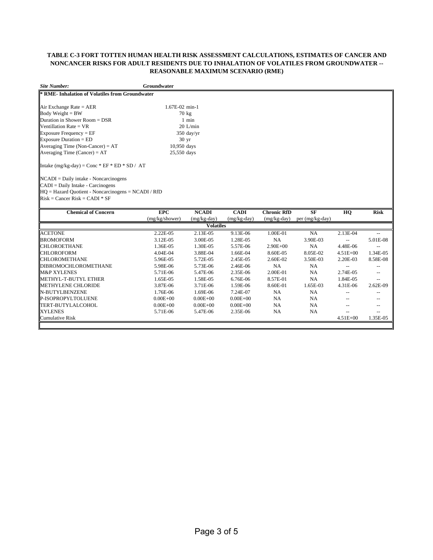## **TABLE C-3 FORT TOTTEN HUMAN HEALTH RISK ASSESSMENT CALCULATIONS, ESTIMATES OF CANCER AND NONCANCER RISKS FOR ADULT RESIDENTS DUE TO INHALATION OF VOLATILES FROM GROUNDWATER -- REASONABLE MAXIMUM SCENARIO (RME)**

| <b>Site Number:</b>                                   | Groundwater      |                  |               |                    |                 |              |             |
|-------------------------------------------------------|------------------|------------------|---------------|--------------------|-----------------|--------------|-------------|
| <b>RME-Inhalation of Volatiles from Groundwater</b>   |                  |                  |               |                    |                 |              |             |
|                                                       | 1.67E-02 min-1   |                  |               |                    |                 |              |             |
| Air Exchange Rate = $AER$                             |                  |                  |               |                    |                 |              |             |
| Body Weight = $BW$                                    |                  | 70 kg            |               |                    |                 |              |             |
| Duration in Shower Room $=$ DSR                       |                  | 1 min            |               |                    |                 |              |             |
| Ventillation Rate = $VR$                              |                  | $20$ L/min       |               |                    |                 |              |             |
| Exposure Frequency = $EF$                             |                  | $350$ day/yr     |               |                    |                 |              |             |
| Exposure Duration = $ED$                              | 30 <sub>yr</sub> |                  |               |                    |                 |              |             |
| Averaging Time (Non-Cancer) = $AT$                    | 10,950 days      |                  |               |                    |                 |              |             |
| Averaging Time (Cancer) = $AT$                        | 25,550 days      |                  |               |                    |                 |              |             |
| Intake $(mg/kg-day) = Conc * EF * ED * SD / AT$       |                  |                  |               |                    |                 |              |             |
| $NCADI = Daily$ intake - Noncarcinogens               |                  |                  |               |                    |                 |              |             |
| $CADI = Daily Intake - Carcinogens$                   |                  |                  |               |                    |                 |              |             |
| $HO = Hazard Quotient - Noncarcinogens = NCADI / RfD$ |                  |                  |               |                    |                 |              |             |
| $Risk = Cancer Risk = CADI * SF$                      |                  |                  |               |                    |                 |              |             |
| <b>Chemical of Concern</b>                            | <b>EPC</b>       | <b>NCADI</b>     | <b>CADI</b>   | <b>Chronic RfD</b> | <b>SF</b>       | HQ           | <b>Risk</b> |
|                                                       | (mg/kg/shower)   | $(mg/kg-day)$    | $(mg/kg-day)$ | $(mg/kg-day)$      | per (mg/kg-day) |              |             |
|                                                       |                  | <b>Volatiles</b> |               |                    |                 |              |             |
| <b>ACETONE</b>                                        | 2.22E-05         | 2.13E-05         | 9.13E-06      | 1.00E-01           | <b>NA</b>       | 2.13E-04     |             |
| <b>BROMOFORM</b>                                      | 3.12E-05         | 3.00E-05         | 1.28E-05      | NA                 | 3.90E-03        |              | 5.01E-08    |
| <b>CHLOROETHANE</b>                                   | 1.36E-05         | 1.30E-05         | 5.57E-06      | $2.90E + 00$       | <b>NA</b>       | 4.48E-06     | $-$         |
| <b>CHLOROFORM</b>                                     | 4.04E-04         | 3.88E-04         | 1.66E-04      | 8.60E-05           | 8.05E-02        | $4.51E + 00$ | 1.34E-05    |
| <b>CHLOROMETHANE</b>                                  | 5.96E-05         | 5.72E-05         | 2.45E-05      | 2.60E-02           | 3.50E-03        | 2.20E-03     | 8.58E-08    |
| <b>DIBROMOCHLOROMETHANE</b>                           | 5.98E-06         | 5.73E-06         | 2.46E-06      | NA                 | NA              | --           | $-$         |

M&P XYLENES 5.71E-06 5.47E-06 2.35E-06 2.00E-01 NA 2.74E-05 --

TERT-BUTYLALCOHOL 0.00E+00 0.00E+00 0.00E+00 NA NA -- -- XYLENES 5.71E-06 5.47E-06 2.35E-06 NA NA -- -- Cumulative Risk 4.51E+00 1.35E-05

METHYLENE CHLORIDE 3.87E-06 3.71E-06 1.59E-06 8.60E-01 1.65E-03 4.31E-06 2.62E-09 N-BUTYLBENZENE 1.76E-06 1.69E-06 7.24E-07 NA NA -- --

METHYL-T-BUTYL ETHER

P-ISOPROPYLTOLUENE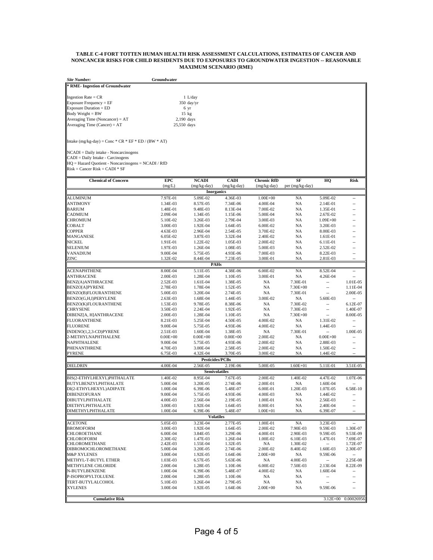## **TABLE C-4 FORT TOTTEN HUMAN HEALTH RISK ASSESSMENT CALCULATIONS, ESTIMATES OF CANCER AND NONCANCER RISKS FOR CHILD RESIDENTS DUE TO EXPOSURES TO GROUNDWATER INGESTION -- REASONABLE MAXIMUM SCENARIO (RME)**

| Site Number:                    | Groundwater  |  |  |  |  |
|---------------------------------|--------------|--|--|--|--|
| * RME- Ingestion of Groundwater |              |  |  |  |  |
| Ingestion Rate = $CR$           | $1$ L/day    |  |  |  |  |
| Exposure Frequency = EF         | $350$ day/yr |  |  |  |  |
| Exposure Duration = ED          | 6 yr         |  |  |  |  |
| Body Weight = BW                | $15$ kg      |  |  |  |  |
| Averaging Time (Noncancer) = AT | 2,190 days   |  |  |  |  |
| Averaging Time (Cancer) = $AT$  | 25,550 days  |  |  |  |  |

Intake  $(mg/kg-day) = Conc * CR * EF * ED / (BW * AT)$ 

NCADI = Daily intake - Noncarcinogens CADI = Daily Intake - Carcinogens HQ = Hazard Quotient - Noncarcinogens = NCADI / RfD Risk = Cancer Risk = CADI \* SF

| <b>Chemical of Concern</b> | <b>EPC</b>   | <b>NCADI</b>           | <b>CADI</b>          | <b>Chronic RfD</b> | SF              | HQ                       | <b>Risk</b>              |
|----------------------------|--------------|------------------------|----------------------|--------------------|-----------------|--------------------------|--------------------------|
|                            | (mg/L)       | (mg/kg-day)            | $(mg/kg-day)$        | $(mg/kg-day)$      | per (mg/kg-day) |                          |                          |
|                            |              | <b>Inorganics</b>      |                      |                    |                 |                          |                          |
| ALUMINUM                   | 7.97E-01     | 5.09E-02               | 4.36E-03             | $1.00E + 00$       | <b>NA</b>       | 5.09E-02                 | $\overline{a}$           |
| <b>ANTIMONY</b>            | 1.34E-03     | 8.57E-05               | 7.34E-06             | 4.00E-04           | <b>NA</b>       | 2.14E-01                 | $\overline{a}$           |
| <b>BARIUM</b>              | 1.48E-01     | 9.48E-03               | 8.13E-04             | 7.00E-02           | <b>NA</b>       | 1.35E-01                 | $-$                      |
| <b>CADMIUM</b>             | 2.09E-04     | 1.34E-05               | 1.15E-06             | 5.00E-04           | <b>NA</b>       | 2.67E-02                 | $-$                      |
| <b>CHROMIUM</b>            | 5.10E-02     | 3.26E-03               | 2.79E-04             | 3.00E-03           | <b>NA</b>       | $1.09E + 00$             | $\overline{a}$           |
| <b>COBALT</b>              | 3.00E-03     | 1.92E-04               | 1.64E-05             | 6.00E-02           | NA              | 3.20E-03                 | $\overline{a}$           |
| <b>COPPER</b>              | 4.63E-03     | 2.96E-04               | 2.54E-05             | 3.70E-02           | NA              | 8.00E-03                 | $-$                      |
| <b>MANGANESE</b>           | 6.05E-02     | 3.87E-03               | 3.32E-04             | 2.40E-02           | <b>NA</b>       | 1.61E-01                 | $\overline{a}$           |
| <b>NICKEL</b>              | 1.91E-01     | 1.22E-02               | 1.05E-03             | 2.00E-02           | NA              | 6.11E-01                 | $\sim$                   |
| SELENIUM                   | 1.97E-03     | 1.26E-04               | 1.08E-05             | 5.00E-03           | NA              | 2.52E-02                 | $\overline{a}$           |
| VANADIUM                   | 9.00E-04     | 5.75E-05               | 4.93E-06             | 7.00E-03           | NA              | 8.22E-03                 | $\overline{a}$           |
| ZINC                       | 1.32E-02     | 8.44E-04               | 7.23E-05             | 3.00E-01           | <b>NA</b>       | 2.81E-03                 |                          |
|                            |              |                        | <b>PAHs</b>          |                    |                 |                          |                          |
| <b>ACENAPHTHENE</b>        | 8.00E-04     | 5.11E-05               | 4.38E-06             | 6.00E-02           | <b>NA</b>       | 8.52E-04                 | $\overline{a}$           |
| <b>ANTHRACENE</b>          | 2.00E-03     | 1.28E-04               | 1.10E-05             | 3.00E-01           | NA              | 4.26E-04                 | $\overline{a}$           |
| <b>BENZ(A)ANTHRACENE</b>   | 2.52E-03     | 1.61E-04               | 1.38E-05             | NA                 | 7.30E-01        | $\overline{\phantom{a}}$ | 1.01E-05                 |
| <b>BENZO[A]PYRENE</b>      | 2.78E-03     | 1.78E-04               | 1.52E-05             | NA                 | $7.30E + 00$    | $\overline{a}$           | 1.11E-04                 |
| BENZO(B)FLOURANTHENE       | 5.00E-03     | 3.20E-04               | 2.74E-05             | NA                 | 7.30E-01        | $\overline{a}$           | 2.00E-05                 |
| BENZO(G,H,I)PERYLENE       | 2.63E-03     | 1.68E-04               | 1.44E-05             | 3.00E-02           | NA              | 5.60E-03                 | $\overline{a}$           |
| BENZO(K)FLOURANTHENE       | 1.53E-03     | 9.78E-05               | 8.38E-06             | <b>NA</b>          | 7.30E-02        | $\overline{\phantom{a}}$ | 6.12E-07                 |
| <b>CHRYSENE</b>            | 3.50E-03     | 2.24E-04               | 1.92E-05             | <b>NA</b>          | 7.30E-03        | $\overline{a}$           | 1.40E-07                 |
| DIBENZ[A, H]ANTHRACENE     | 2.00E-03     | 1.28E-04               | 1.10E-05             | <b>NA</b>          | 7.30E+00        |                          | 8.00E-05                 |
| <b>FLUORANTHENE</b>        | 8.21E-03     | 5.25E-04               | 4.50E-05             | 4.00E-02           | NA              | 1.31E-02                 | $\overline{a}$           |
| <b>FLUORENE</b>            | 9.00E-04     | 5.75E-05               | 4.93E-06             | 4.00E-02           | NA              | 1.44E-03                 | $\overline{a}$           |
| INDENO(1,2,3-CD)PYRENE     | 2.51E-03     | 1.60E-04               | 1.38E-05             | NA                 | 7.30E-01        | $\overline{a}$           | 1.00E-05                 |
| 2-METHYLNAPHTHALENE        | $0.00E + 00$ | $0.00E + 00$           | $0.00E + 00$         | 2.00E-02           | <b>NA</b>       | $0.00E + 00$             |                          |
| NAPHTHALENE                | 9.00E-04     | 5.75E-05               | 4.93E-06             | 2.00E-02           | <b>NA</b>       | 2.88E-03                 | $\overline{a}$           |
| PHENANTHRENE               | 4.70E-03     | 3.00E-04               | 2.58E-05             | 2.00E-02           | NA              | 1.50E-02                 | $\overline{a}$           |
| <b>PYRENE</b>              | 6.75E-03     | 4.32E-04               | 3.70E-05             | 3.00E-02           | <b>NA</b>       | 1.44E-02                 |                          |
|                            |              | <b>Pesticides/PCBs</b> |                      |                    |                 |                          |                          |
| DIELDRIN                   | 4.00E-04     | 2.56E-05               | 2.19E-06             | 5.00E-05           | $1.60E + 01$    | 5.11E-01                 | 3.51E-05                 |
|                            |              |                        | <b>Semivolatiles</b> |                    |                 |                          |                          |
| BIS(2-ETHYLHEXYL)PHTHALATE | 1.40E-02     | 8.95E-04               | 7.67E-05             | 2.00E-02           | 1.40E-02        | 4.47E-02                 | 1.07E-06                 |
| BUTYLBENZYLPHTHALATE       | 5.00E-04     | 3.20E-05               | 2.74E-06             | 2.00E-01           | NA              | 1.60E-04                 |                          |
| DI(2-ETHYLHEXYL)ADIPATE    | 1.00E-04     | 6.39E-06               | 5.48E-07             | 6.00E-01           | 1.20E-03        | 1.07E-05                 | 6.58E-10                 |
| <b>DIBENZOFURAN</b>        | 9.00E-04     | 5.75E-05               | 4.93E-06             | 4.00E-03           | NA              | 1.44E-02                 | $\overline{a}$           |
| <b>DIBUTYLPHTHALATE</b>    | 4.00E-03     | 2.56E-04               | 2.19E-05             | 1.00E-01           | <b>NA</b>       | 2.56E-03                 | $\overline{a}$           |
| DIETHYLPHTHALATE           | 3.00E-03     | 1.92E-04               | 1.64E-05             | 8.00E-01           | <b>NA</b>       | 2.40E-04                 | $\overline{a}$           |
| DIMETHYLPHTHALATE          | 1.00E-04     | 6.39E-06               | 5.48E-07             | $1.00E + 01$       | NA              | 6.39E-07                 | $\overline{a}$           |
|                            |              |                        | <b>Volatiles</b>     |                    |                 |                          |                          |
| <b>ACETONE</b>             | 5.05E-03     | 3.23E-04               | 2.77E-05             | 1.00E-01           | <b>NA</b>       | 3.23E-03                 | $\overline{a}$           |
| <b>BROMOFORM</b>           | 3.00E-03     | 1.92E-04               | 1.64E-05             | 2.00E-02           | 7.90E-03        | 9.59E-03                 | 1.30E-07                 |
| CHLOROETHANE               | 6.00E-04     | 3.84E-05               | 3.29E-06             | 4.00E-01           | 2.90E-03        | 9.59E-05                 | 9.53E-09                 |
| <b>CHLOROFORM</b>          | 2.30E-02     | 1.47E-03               | 1.26E-04             | 1.00E-02           | 6.10E-03        | 1.47E-01                 | 7.69E-07                 |
| <b>CHLOROMETHANE</b>       | 2.42E-03     | 1.55E-04               | 1.32E-05             | <b>NA</b>          | 1.30E-02        |                          | 1.72E-07                 |
| DIBROMOCHLOROMETHANE       | 5.00E-04     | 3.20E-05               | 2.74E-06             | 2.00E-02           | 8.40E-02        | 1.60E-03                 | 2.30E-07                 |
| <b>M&amp;P XYLENES</b>     | 3.00E-04     | 1.92E-05               | 1.64E-06             | $2.00E + 00$       | NA              | 9.59E-06                 | $\overline{\phantom{a}}$ |
| METHYL-T-BUTYL ETHER       | 1.03E-03     | 6.57E-05               | 5.63E-06             | NA                 | 4.00E-03        | $\overline{\phantom{a}}$ | 2.25E-08                 |
| <b>METHYLENE CHLORIDE</b>  | 2.00E-04     | 1.28E-05               | 1.10E-06             | $6.00E-02$         | 7.50E-03        | 2.13E-04                 | 8.22E-09                 |
| N-BUTYLBENZENE             | 1.00E-04     | 6.39E-06               | 5.48E-07             | 4.00E-02           | NA              | 1.60E-04                 |                          |
| P-ISOPROPYLTOLUENE         | 2.00E-04     | 1.28E-05               | 1.10E-06             | NA                 | NA              | $\overline{\phantom{a}}$ |                          |
| TERT-BUTYLALCOHOL          | 5.10E-03     | 3.26E-04               | 2.79E-05             | <b>NA</b>          | NA              | $\overline{a}$           |                          |
| <b>XYLENES</b>             | 3.00E-04     | 1.92E-05               | 1.64E-06             | $2.00E + 00$       | <b>NA</b>       | 9.59E-06                 |                          |
|                            |              |                        |                      |                    |                 |                          |                          |
| <b>Cumulative Risk</b>     |              |                        |                      |                    |                 |                          | 3.12E+00 0.00026956      |